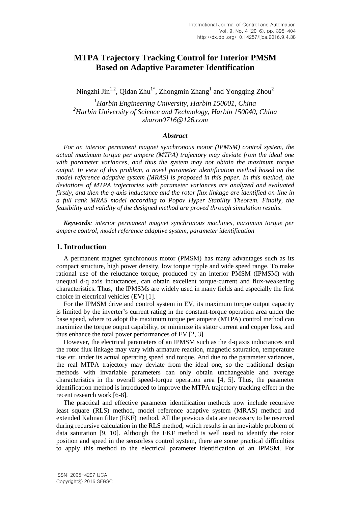# **MTPA Trajectory Tracking Control for Interior PMSM Based on Adaptive Parameter Identification**

Ningzhi Jin<sup>1,2</sup>, Qidan Zhu<sup>1\*</sup>, Zhongmin Zhang<sup>1</sup> and Yongqing Zhou<sup>2</sup>

*<sup>1</sup>Harbin Engineering University, Harbin 150001, China <sup>2</sup>Harbin University of Science and Technology, Harbin 150040, China sharon0716@126.com*

#### *Abstract*

*For an interior permanent magnet synchronous motor (IPMSM) control system, the actual maximum torque per ampere (MTPA) trajectory may deviate from the ideal one with parameter variances, and thus the system may not obtain the maximum torque output. In view of this problem, a novel parameter identification method based on the model reference adaptive system (MRAS) is proposed in this paper. In this method, the deviations of MTPA trajectories with parameter variances are analyzed and evaluated firstly, and then the q-axis inductance and the rotor flux linkage are identified on-line in a full rank MRAS model according to Popov Hyper Stability Theorem. Finally, the feasibility and validity of the designed method are proved through simulation results.*

*Keywords: interior permanent magnet synchronous machines, maximum torque per ampere control, model reference adaptive system, parameter identification*

#### **1. Introduction**

A permanent magnet synchronous motor (PMSM) has many advantages such as its compact structure, high power density, low torque ripple and wide speed range. To make rational use of the reluctance torque, produced by an interior PMSM (IPMSM) with unequal d-q axis inductances, can obtain excellent torque-current and [flux-weakening](javascript:showjdsw() characteristics. Thus, the IPMSMs are widely used in many fields and especially the first choice in electrical vehicles (EV) [1].

For the IPMSM drive and control system in EV, its maximum torque output capacity is limited by the inverter's current rating in the constant-torque operation area under the base speed, where to adopt the maximum torque per ampere (MTPA) control method can maximize the torque output capability, or minimize its stator current and copper loss, and thus enhance the total power performances of EV [2, 3].

However, the electrical parameters of an IPMSM such as the d-q axis inductances and the rotor flux linkage may vary with armature reaction, magnetic saturation, temperature rise *etc.* under its actual operating speed and torque. And due to the parameter variances, the real MTPA trajectory may deviate from the ideal one, so the traditional design methods with invariable parameters can only obtain unchangeable and average characteristics in the overall speed-torque operation area [4, 5]. Thus, the parameter identification method is introduced to improve the MTPA trajectory tracking effect in the recent research work [6-8].

The practical and effective parameter identification methods now include recursive least square (RLS) method, model reference adaptive system (MRAS) method and extended Kalman filter (EKF) method. All the previous data are necessary to be reserved during recursive calculation in the RLS method, which results in an inevitable problem of data saturation [9, 10]. Although the EKF method is well used to identify the rotor position and speed in the sensorless control system, there are some practical difficulties to apply this method to the electrical parameter identification of an IPMSM. For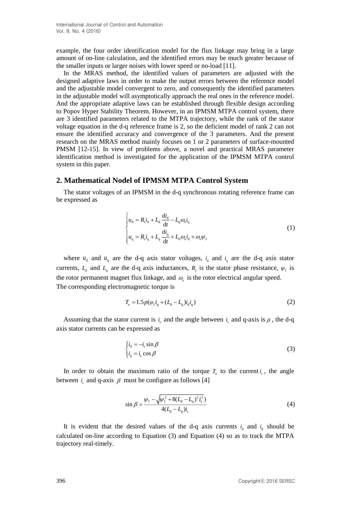example, the four order identification model for the flux linkage may bring in a large amount of on-line calculation, and the identified errors may be much greater because of the smaller inputs or larger noises with lower speed or no-load [11].

In the MRAS method, the identified values of parameters are adjusted with the designed adaptive laws in order to make the output errors between the reference model and the adjustable model convergent to zero, and consequently the identified parameters in the adjustable model will asymptotically approach the real ones in the reference model. And the appropriate adaptive laws can be established through flexible design according to Popov Hyper Stability Theorem. However, in an IPMSM MTPA control system, there are 3 identified parameters related to the MTPA trajectory, while the rank of the stator voltage equation in the d-q reference frame is 2, so the deficient model of rank 2 can not ensure the identified accuracy and convergence of the 3 parameters. And the present research on the MRAS method mainly focuses on 1 or 2 parameters of surface-mounted PMSM [12-15]. In view of problems above, a novel and practical MRAS parameter identification method is investigated for the application of the IPMSM MTPA control system in this paper.

### **2. Mathematical Nodel of IPMSM MTPA Control System**

The stator voltages of an IPMSM in the d-q synchronous rotating reference frame can be expressed as

$$
\begin{cases}\n u_{\mathbf{d}} = R_{\mathbf{s}} i_{\mathbf{d}} + L_{\mathbf{d}} \frac{\mathbf{d} i_{\mathbf{d}}}{\mathbf{d} t} - L_{\mathbf{q}} \omega_{\mathbf{e}} i_{\mathbf{q}} \\
 u_{\mathbf{q}} = R_{\mathbf{s}} i_{\mathbf{q}} + L_{\mathbf{q}} \frac{\mathbf{d} i_{\mathbf{q}}}{\mathbf{d} t} + L_{\mathbf{d}} \omega_{\mathbf{e}} i_{\mathbf{d}} + \omega_{\mathbf{e}} \psi_{\mathbf{f}}\n\end{cases} (1)
$$

where  $u_d$  and  $u_q$  are the d-q axis stator voltages,  $i_d$  and  $i_q$  are the d-q axis stator currents,  $L_d$  and  $L_q$  are the d-q axis inductances,  $R_s$  is the stator phase resistance,  $\psi_f$  is the rotor permanent magnet flux linkage, and  $\omega_e$  is the rotor electrical angular speed. The corresponding electromagnetic torque is

$$
T_{\rm e} = 1.5 p(\psi_{\rm f} i_{\rm q} + (L_{\rm d} - L_{\rm q}) i_{\rm d} i_{\rm q})
$$
\n(2)

Assuming that the stator current is  $i_s$  and the angle between  $i_s$  and q-axis is  $\beta$ , the d-q axis stator currents can be expressed as

$$
\begin{cases}\ni_d = -i_s \sin \beta \\
i_q = i_s \cos \beta\n\end{cases}
$$
\n(3)

In order to obtain the maximum ratio of the torque  $T<sub>e</sub>$  to the current  $i<sub>s</sub>$ , the angle between  $i_s$  and q-axis  $\beta$  must be configure as follows [4]

$$
\sin \beta = \frac{\psi_f - \sqrt{\psi_f^2 + 8(L_a - L_q)^2 i_s^2}}{4(L_a - L_q) i_s} \tag{4}
$$

It is evident that the desired values of the d-q axis currents  $i_d$  and  $i_q$  should be calculated on-line according to Equation (3) and Equation (4) so as to track the MTPA trajectory real-timely.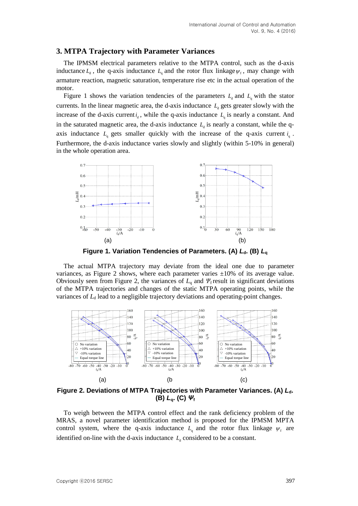### **3. MTPA Trajectory with Parameter Variances**

The IPMSM electrical parameters relative to the MTPA control, such as the d-axis inductance  $L_{d}$ , the q-axis inductance  $L_{q}$  and the rotor flux linkage  $\psi_{f}$ , may change with armature reaction, magnetic saturation, temperature rise etc in the actual operation of the motor.

Figure 1 shows the variation tendencies of the parameters  $L_d$  and  $L_q$  with the stator currents. In the linear magnetic area, the d-axis inductance  $L<sub>d</sub>$  gets greater slowly with the increase of the d-axis current  $i_d$ , while the q-axis inductance  $L_q$  is nearly a constant. And in the saturated magnetic area, the d-axis inductance  $L<sub>d</sub>$  is nearly a constant, while the qaxis inductance  $L_q$  gets smaller quickly with the increase of the q-axis current  $i_q$ . Furthermore, the d-axis inductance varies slowly and slightly (within 5-10% in general) in the whole operation area.



**Figure 1. Variation Tendencies of Parameters. (A)** *L***d. (B)** *L***<sup>q</sup>**

The actual MTPA trajectory may deviate from the ideal one due to parameter variances, as Figure 2 shows, where each parameter varies  $\pm 10\%$  of its average value. Obviously seen from Figure 2, the variances of  $L_q$  and  $\Psi_f$  result in significant deviations of the MTPA trajectories and changes of the static MTPA operating points, while the variances of  $L_d$  lead to a negligible trajectory deviations and operating-point changes.



**Figure 2. Deviations of MTPA Trajectories with Parameter Variances. (A)** *L***d. (B)** *L***q. (C)** *Ψ***<sup>f</sup>**

To weigh between the MTPA control effect and the rank deficiency problem of the MRAS, a novel parameter identification method is proposed for the IPMSM MPTA control system, where the q-axis inductance  $L_q$  and the rotor flux linkage  $\psi_f$  are identified on-line with the d-axis inductance  $L_{d}$  considered to be a constant.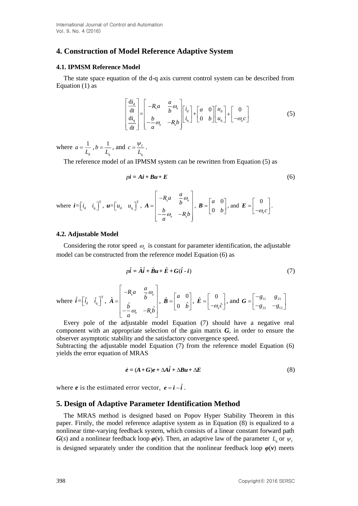## **4. Construction of Model Reference Adaptive System**

#### **4.1. IPMSM Reference Model**

The state space equation of the d-q axis current control system can be described from Equation (1) as

$$
\begin{bmatrix}\n\frac{di_d}{dt} \\
\frac{di_q}{dt}\n\end{bmatrix} = \begin{bmatrix}\n-R_s a & \frac{a}{b} \omega_e \\
\frac{b}{a} & -R_s b\n\end{bmatrix} \begin{bmatrix}\ni_d \\
i_q\n\end{bmatrix} + \begin{bmatrix}\na & 0 \\
0 & b\n\end{bmatrix} \begin{bmatrix}\nu_d \\
u_q\n\end{bmatrix} + \begin{bmatrix}\n0 \\
-\omega_e c\n\end{bmatrix}
$$
\n(5)

where d  $a = \frac{1}{L}$ , q  $b = \frac{1}{L}$ , and  $c = \frac{\psi_f}{L}$ q  $c = \frac{C}{L}$  $=\frac{\psi_{\rm f}}{4}$ .

The reference model of an IPMSM system can be rewritten from Equation (5) as

$$
pi = Ai + Bu + E \tag{6}
$$

where 
$$
\mathbf{i} = \begin{bmatrix} i_a & i_a \end{bmatrix}^T
$$
,  $\mathbf{u} = \begin{bmatrix} u_a & u_a \end{bmatrix}^T$ ,  $\mathbf{A} = \begin{bmatrix} -R_s a & \frac{a}{b} \omega_e \\ \frac{b}{a} & -R_s b \end{bmatrix}$ ,  $\mathbf{B} = \begin{bmatrix} a & 0 \\ 0 & b \end{bmatrix}$ , and  $\mathbf{E} = \begin{bmatrix} 0 \\ -\omega_e c \end{bmatrix}$ .

#### **4.2. Adjustable Model**

Considering the rotor speed  $\omega_e$  is constant for parameter identification, the adjustable model can be constructed from the reference model Equation (6) as

$$
p\hat{i} = \hat{A}\hat{i} + \hat{B}u + \hat{E} + G(\hat{i} - i)
$$
 (7)

where  $\hat{i} = \begin{bmatrix} \hat{i}_d & \hat{i}_d \end{bmatrix}^T$ d q  $\hat{i}$   $=$  $\hat{\boldsymbol{i}} = \begin{bmatrix} \hat{i}_\text{d} & \hat{i}_\text{q} \end{bmatrix}^\text{T}, \ \hat{A} = \begin{bmatrix} \frac{\text{s}}{\text{s}} & \hat{b} \end{bmatrix}^\text{e}$ e s  $\hat{A} = \begin{vmatrix} \hat{A} & \hat{B} & \hat{C} \\ \hat{C} & \hat{C} & -B & \hat{C} \end{vmatrix}$  $Ra \frac{a}{2}$ *b*  $\stackrel{b}{-\omega}$  -R  $\stackrel{c}{b}$ *a*  $\omega$  $\omega$  $\begin{bmatrix} a & b \end{bmatrix}$  $| -R_{\rm s} a - \frac{\overline{a}}{2} \omega_{\rm e} |$  $=$   $\begin{vmatrix} b & b \\ c & d \end{vmatrix}$  $\begin{vmatrix} \hat{b} & \hat{c} \end{vmatrix}$  $\begin{bmatrix} -\frac{b}{a} \omega_{\text{e}} & -R_{\text{s}} b \end{bmatrix}$  $\hat{A} = \begin{bmatrix} 1 & 0 & 0 \\ 0 & 0 & 0 \\ 0 & 0 & 0 \end{bmatrix}, \ \hat{B} = \begin{bmatrix} a & 0 & 0 \\ 0 & 0 & 0 \\ 0 & 0 & 0 \end{bmatrix}$ *a b*  $=\begin{bmatrix} a & 0 \\ 0 & 0 \end{bmatrix}$  $\begin{bmatrix} 0 & b \end{bmatrix}$  $\hat{B} = \begin{vmatrix} 1 & 1 \\ 0 & \hat{b} \end{vmatrix}, \ \hat{E} = \begin{vmatrix} 1 \\ -\omega_e \end{vmatrix}$  $\hat{E} = \begin{vmatrix} 0 \\ -\omega \hat{c} \end{vmatrix}$  $\hat{E} = \begin{bmatrix} 0 \\ -\omega_e \hat{c} \end{bmatrix}$ , and  $\mathbf{G} = \begin{bmatrix} -g_{11} & g_{21} \\ -g_{22} & -g_1 \end{bmatrix}$ 22  $\bullet$  12  $g_{\scriptscriptstyle 11}$   $g$  $g_{22}$   $-g$  $G = \begin{bmatrix} -g_{11} & g_{21} \\ -g_{22} & -g_{12} \end{bmatrix}$ 

Every pole of the adjustable model Equation (7) should have a negative real component with an appropriate selection of the gain matrix *G*, in order to ensure the observer [asymptotic stability](javascript:showjdsw() and the satisfactory [convergence speed.](http://dict.cnki.net/dict_result.aspx?searchword=%e6%94%b6%e6%95%9b%e9%80%9f%e5%ba%a6&tjType=sentence&style=&t=convergence+speed)

Subtracting the adjustable model Equation (7) from the reference model Equation (6) yields the error equation of MRAS

$$
\dot{e} = (A + G)e + \Delta A \hat{i} + \Delta Bu + \Delta E \tag{8}
$$

where *e* is the estimated error vector,  $e = \mathbf{i} - \mathbf{i}$ .

#### **5. Design of Adaptive Parameter Identification Method**

The MRAS method is designed based on Popov Hyper Stability Theorem in this paper. Firstly, the model reference adaptive system as in Equation (8) is equalized to a nonlinear time-varying feedback system, which consists of a linear constant forward path  $G(s)$  and a nonlinear feedback loop  $\varphi(\nu)$ . Then, an adaptive law of the parameter  $L_q$  or  $\psi_1$ is designed separately under the condition that the nonlinear feedback loop  $\varphi(\nu)$  meets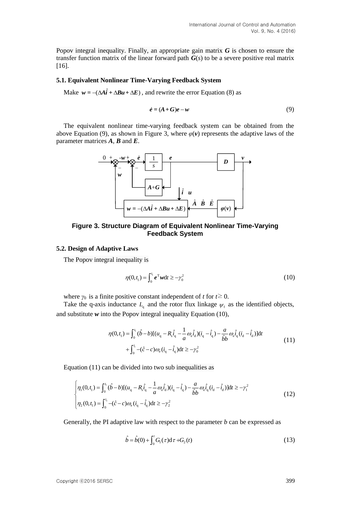Popov integral inequality. Finally, an appropriate gain matrix *G* is chosen to ensure the transfer function matrix of the linear forward path  $G(s)$  to be a severe positive real matrix [16].

#### **5.1. Equivalent Nonlinear Time-Varying Feedback System**

Make  $w = -(\Delta A \hat{i} + \Delta B u + \Delta E)$ , and rewrite the error Equation (8) as

$$
\dot{e} = (A + G)e - w \tag{9}
$$

The equivalent nonlinear time-varying feedback system can be obtained from the above Equation (9), as shown in Figure 3, where  $\varphi(\nu)$  represents the adaptive laws of the parameter matrices *A*, *B* and *E*.



**Figure 3. Structure Diagram of Equivalent Nonlinear Time-Varying Feedback System**

#### **5.2. Design of Adaptive Laws**

The Popov integral inequality is

$$
\eta(0, t_1) = \int_0^{t_1} e^{\mathrm{T}} w \mathrm{d}t \ge -\gamma_0^2 \tag{10}
$$

where  $\gamma_0$  is a finite positive constant independent of *t* for  $t \geq 0$ .

Take the q-axis inductance  $L_q$  and the rotor flux linkage  $\psi_f$  as the identified objects, and substitute *w* into the Popov integral inequality Equation (10),

$$
\eta(0, t_1) = \int_0^{t_1} (\hat{b} - b)[(u_q - R_s \hat{t}_q - \frac{1}{a} \omega_e \hat{t}_a)(i_q - \hat{t}_q) - \frac{a}{\hat{b}b} \omega_e \hat{t}_q (i_d - \hat{t}_d)] dt + \int_0^{t_1} -(\hat{c} - c) \omega_e (i_q - \hat{t}_q) dt \ge -\gamma_0^2
$$
\n(11)

Equation (11) can be divided into two sub inequalities as

$$
\begin{cases}\n\eta_1(0, t_1) = \int_0^{t_1} (\hat{b} - b) [(u_q - R_s \hat{i}_q - \frac{1}{a} \omega_e \hat{i}_d)(i_q - \hat{i}_q) - \frac{a}{\hat{b}b} \omega_e \hat{i}_q (i_d - \hat{i}_d)] dt \ge -\gamma_1^2 \\
\eta_2(0, t_1) = \int_0^{t_1} -(\hat{c} - c) \omega_e (i_q - \hat{i}_q) dt \ge -\gamma_2^2\n\end{cases}
$$
\n(12)

Generally, the PI adaptive law with respect to the parameter *b* can be expressed as

$$
\hat{b} = \hat{b}(0) + \int_0^t G_1(\tau) d\tau + G_2(t)
$$
\n(13)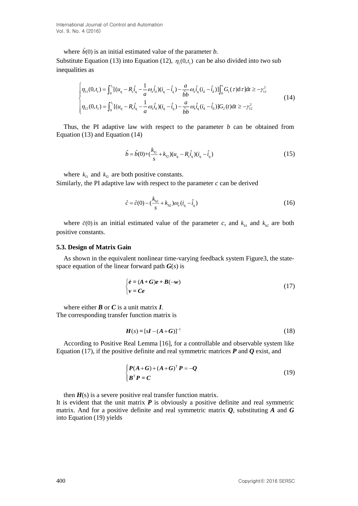International Journal of Control and Automation Vol. 9, No. 4 (2016)

where  $\hat{b}(0)$  is an initial estimated value of the parameter *b*.

Substitute Equation (13) into Equation (12),  $\eta_1(0,t)$  can be also divided into two sub inequalities as

$$
\begin{cases}\n\eta_{11}(0,t_{1}) = \int_{0}^{t_{1}} \left[ (u_{q} - R_{s}\hat{i}_{q} - \frac{1}{a}\omega_{e}\hat{i}_{d})(i_{q} - \hat{i}_{q}) - \frac{a}{\hat{b}b}\omega_{e}\hat{i}_{q}(i_{d} - \hat{i}_{d}) \right] \int_{0}^{t} G_{1}(\tau)d\tau \right] dt \geq -\gamma_{11}^{2} \\
\eta_{12}(0,t_{1}) = \int_{0}^{t_{1}} \left[ (u_{q} - R_{s}\hat{i}_{q} - \frac{1}{a}\omega_{e}\hat{i}_{d})(i_{q} - \hat{i}_{q}) - \frac{a}{\hat{b}b}\omega_{e}\hat{i}_{q}(i_{d} - \hat{i}_{d}) \right] G_{2}(t) dt \geq -\gamma_{12}^{2}\n\end{cases}
$$
\n(14)

Thus, the PI adaptive law with respect to the parameter *b* can be obtained from Equation (13) and Equation (14)

$$
\hat{b} = \hat{b}(0) + (\frac{k_{\rm fl}}{s} + k_{\rm g})(u_{\rm q} - R_{\rm s}\hat{i}_{\rm q})(i_{\rm q} - \hat{i}_{\rm q})
$$
\n(15)

where  $k_{\text{fl}}$  and  $k_{\text{g}}$  are both positive constants.

Similarly, the PI adaptive law with respect to the parameter *c* can be derived

$$
\hat{c} = \hat{c}(0) - (\frac{k_{h1}}{s} + k_{h2})\omega_e (i_q - \hat{i}_q)
$$
\n(16)

where  $\hat{c}(0)$  is an initial estimated value of the parameter *c*, and  $k_{h1}$  and  $k_{h2}$  are both positive constants.

#### **5.3. Design of Matrix Gain**

As shown in the equivalent nonlinear time-varying feedback system Figure3, the statespace equation of the linear forward path  $G(s)$  is

$$
\begin{cases}\n\dot{e} = (A + G)e + B(-w) \\
v = Ce\n\end{cases}
$$
\n(17)

where either *B* or *C* is a unit matrix *I*. The corresponding transfer function matrix is

$$
H(s) = [sI - (A + G)]^{-1}
$$
 (18)

According to Positive Real Lemma [16], for a controllable and observable system like Equation (17), if the positive definite and real symmetric matrices *P* and *Q* exist, and

$$
\begin{cases}\nP(A+G)+(A+G)^{T}P=-Q\\B^{T}P=C\end{cases}
$$
\n(19)

then  $H(s)$  is a severe positive real transfer function matrix.

It is evident that the unit matrix *P* is obviously a positive definite and real symmetric matrix. And for a positive definite and real symmetric matrix *Q*, substituting *A* and *G*  into Equation (19) yields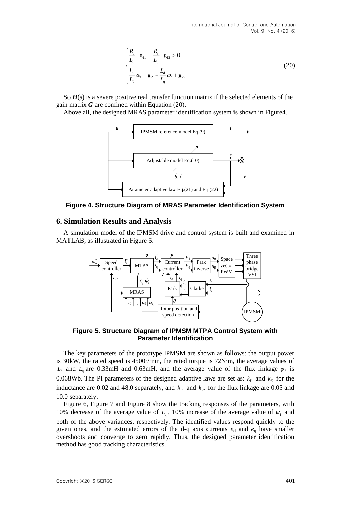$$
\begin{cases}\n\frac{R_s}{L_d} + g_{11} = \frac{R_s}{L_q} + g_{12} > 0 \\
\frac{L_q}{L_d} \omega_e + g_{21} = \frac{L_d}{L_q} \omega_e + g_{22}\n\end{cases} \tag{20}
$$

So  $H(s)$  is a severe positive real transfer function matrix if the selected elements of the gain matrix *G* are confined within Equation (20).

Above all, the designed MRAS parameter identification system is shown in Figure4.



**Figure 4. Structure Diagram of MRAS Parameter Identification System**

#### **6. Simulation Results and Analysis**

A simulation model of the IPMSM drive and control system is built and examined in MATLAB, as illustrated in Figure 5.



**Figure 5. Structure Diagram of IPMSM MTPA Control System with Parameter Identification**

The key parameters of the prototype IPMSM are shown as follows: the output power is 30kW, the rated speed is 4500r/min, the rated torque is 72N·m, the average values of  $L_d$  and  $L_q$  are 0.33mH and 0.63mH, and the average value of the flux linkage  $\psi_f$  is 0.068Wb. The PI parameters of the designed adaptive laws are set as:  $k_{\rm r1}$  and  $k_{\rm r2}$  for the inductance are 0.02 and 48.0 separately, and  $k_{h1}$  and  $k_{h2}$  for the flux linkage are 0.05 and 10.0 separately.

Figure 6, Figure 7 and Figure 8 show the tracking responses of the parameters, with 10% decrease of the average value of  $L_q$ , 10% increase of the average value of  $\psi_f$  and both of the above variances, respectively. The identified values respond quickly to the given ones, and the estimated errors of the d-q axis currents  $e_d$  and  $e_g$  have smaller overshoots and converge to zero rapidly. Thus, the designed parameter identification method has good tracking characteristics.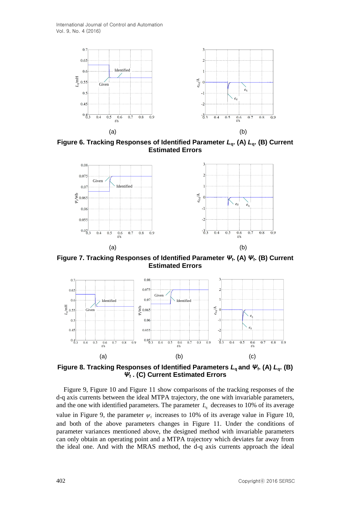International Journal of Control and Automation Vol. 9, No. 4 (2016)



**Figure 6. Tracking Responses of Identified Parameter** *L***q. (A)** *L***q. (B) Current Estimated Errors**



**Figure 7. Tracking Responses of Identified Parameter** *Ψ***<sup>f</sup> . (A)** *Ψ***<sup>f</sup> . (B) Current Estimated Errors**



**Figure 8. Tracking Responses of Identified Parameters** *L***q and** *Ψ***<sup>f</sup> . (A)** *L***q. (B)**  *Ψ***f . (C) Current Estimated Errors**

Figure 9, Figure 10 and Figure 11 show comparisons of the tracking responses of the d-q axis currents between the ideal MTPA trajectory, the one with invariable parameters, and the one with identified parameters. The parameter  $L_q$  decreases to 10% of its average value in Figure 9, the parameter  $\psi_f$  increases to 10% of its average value in Figure 10, and both of the above parameters changes in Figure 11. Under the conditions of parameter variances mentioned above, the designed method with invariable parameters can only obtain an operating point and a MTPA trajectory which deviates far away from the ideal one. And with the MRAS method, the d-q axis currents approach the ideal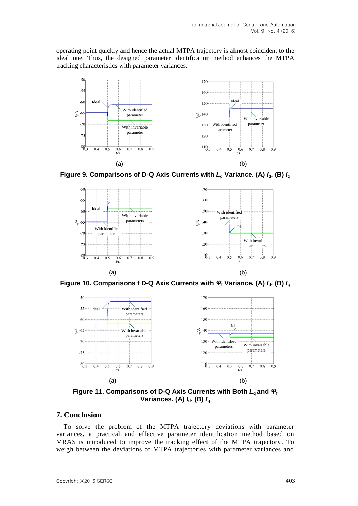operating point quickly and hence the actual MTPA trajectory is almost coincident to the ideal one. Thus, the designed parameter identification method enhances the MTPA tracking characteristics with parameter variances.



**Figure 9. Comparisons of D-Q Axis Currents with** *L***<sup>q</sup> Variance. (A)** *I***d. (B)** *I***<sup>q</sup>**



**Figure 10. Comparisons f D-Q Axis Currents with** *Ψ***<sup>f</sup> Variance. (A)** *I***d. (B)** *I***<sup>q</sup>**



**Figure 11. Comparisons of D-Q Axis Currents with Both** *L***q and** *Ψ***<sup>f</sup> Variances.** (A)  $I_d$ . (B)  $I_d$ 

## **7. Conclusion**

To solve the problem of the MTPA trajectory deviations with parameter variances, a practical and effective parameter identification method based on MRAS is introduced to improve the tracking effect of the MTPA trajectory. To weigh between the deviations of MTPA trajectories with parameter variances and